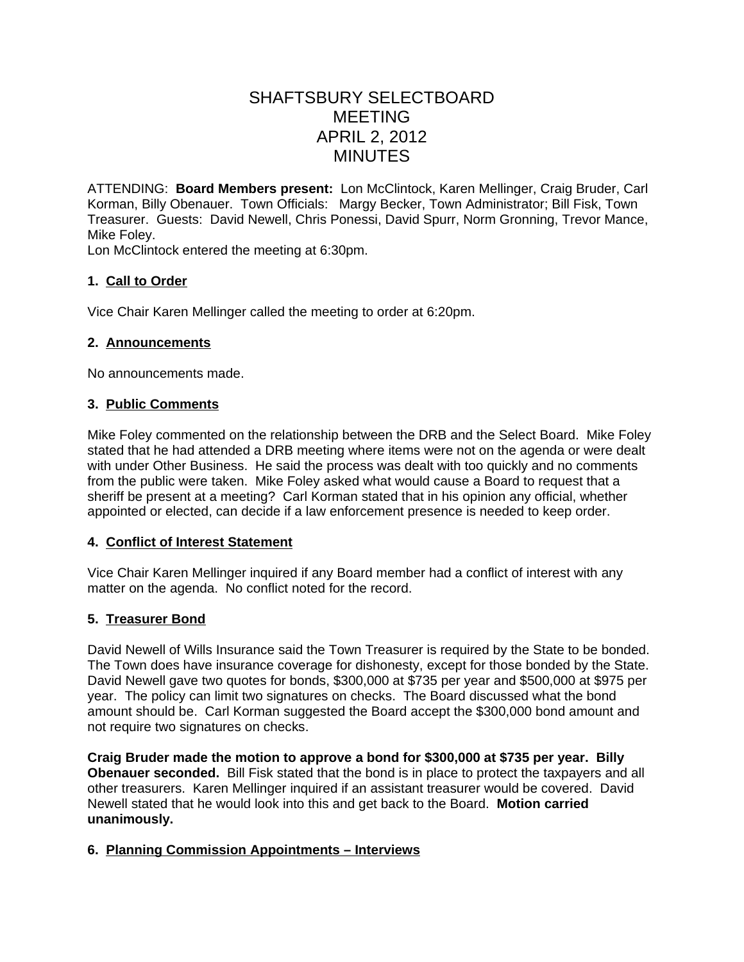# SHAFTSBURY SELECTBOARD MEETING APRIL 2, 2012 MINUTES

ATTENDING: **Board Members present:** Lon McClintock, Karen Mellinger, Craig Bruder, Carl Korman, Billy Obenauer. Town Officials: Margy Becker, Town Administrator; Bill Fisk, Town Treasurer. Guests: David Newell, Chris Ponessi, David Spurr, Norm Gronning, Trevor Mance, Mike Foley.

Lon McClintock entered the meeting at 6:30pm.

## **1. Call to Order**

Vice Chair Karen Mellinger called the meeting to order at 6:20pm.

## **2. Announcements**

No announcements made.

## **3. Public Comments**

Mike Foley commented on the relationship between the DRB and the Select Board. Mike Foley stated that he had attended a DRB meeting where items were not on the agenda or were dealt with under Other Business. He said the process was dealt with too quickly and no comments from the public were taken. Mike Foley asked what would cause a Board to request that a sheriff be present at a meeting? Carl Korman stated that in his opinion any official, whether appointed or elected, can decide if a law enforcement presence is needed to keep order.

## **4. Conflict of Interest Statement**

Vice Chair Karen Mellinger inquired if any Board member had a conflict of interest with any matter on the agenda. No conflict noted for the record.

## **5. Treasurer Bond**

David Newell of Wills Insurance said the Town Treasurer is required by the State to be bonded. The Town does have insurance coverage for dishonesty, except for those bonded by the State. David Newell gave two quotes for bonds, \$300,000 at \$735 per year and \$500,000 at \$975 per year. The policy can limit two signatures on checks. The Board discussed what the bond amount should be. Carl Korman suggested the Board accept the \$300,000 bond amount and not require two signatures on checks.

**Craig Bruder made the motion to approve a bond for \$300,000 at \$735 per year. Billy Obenauer seconded.** Bill Fisk stated that the bond is in place to protect the taxpayers and all other treasurers. Karen Mellinger inquired if an assistant treasurer would be covered. David Newell stated that he would look into this and get back to the Board. **Motion carried unanimously.**

## **6. Planning Commission Appointments – Interviews**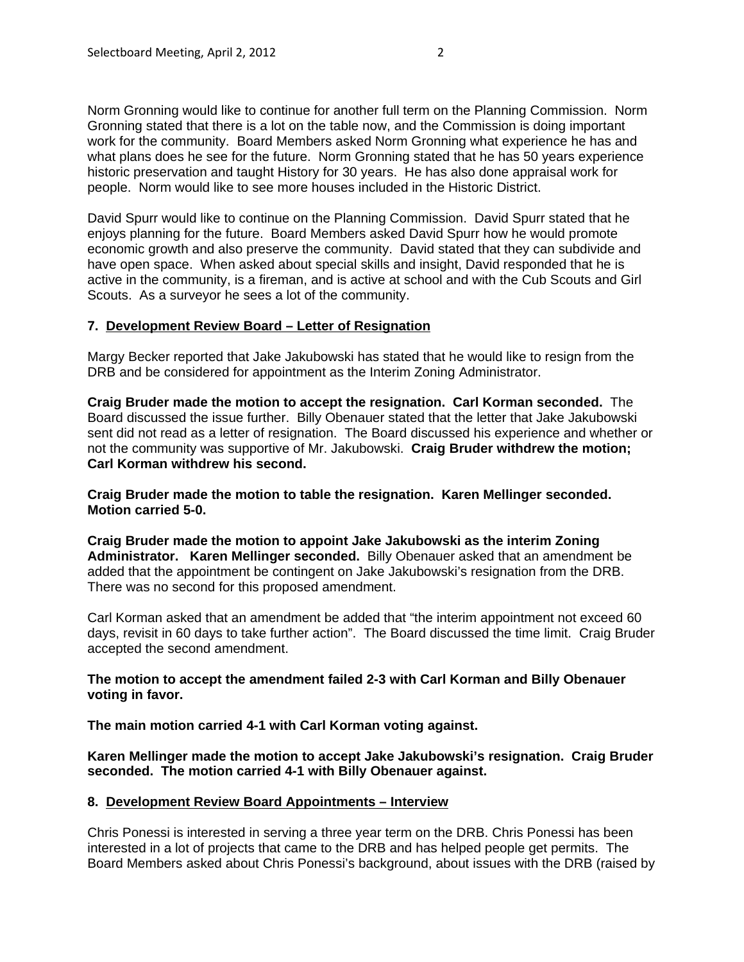Norm Gronning would like to continue for another full term on the Planning Commission. Norm Gronning stated that there is a lot on the table now, and the Commission is doing important work for the community. Board Members asked Norm Gronning what experience he has and what plans does he see for the future. Norm Gronning stated that he has 50 years experience historic preservation and taught History for 30 years. He has also done appraisal work for people. Norm would like to see more houses included in the Historic District.

David Spurr would like to continue on the Planning Commission. David Spurr stated that he enjoys planning for the future. Board Members asked David Spurr how he would promote economic growth and also preserve the community. David stated that they can subdivide and have open space. When asked about special skills and insight, David responded that he is active in the community, is a fireman, and is active at school and with the Cub Scouts and Girl Scouts. As a surveyor he sees a lot of the community.

## **7. Development Review Board – Letter of Resignation**

Margy Becker reported that Jake Jakubowski has stated that he would like to resign from the DRB and be considered for appointment as the Interim Zoning Administrator.

**Craig Bruder made the motion to accept the resignation. Carl Korman seconded.** The Board discussed the issue further. Billy Obenauer stated that the letter that Jake Jakubowski sent did not read as a letter of resignation. The Board discussed his experience and whether or not the community was supportive of Mr. Jakubowski. **Craig Bruder withdrew the motion; Carl Korman withdrew his second.**

**Craig Bruder made the motion to table the resignation. Karen Mellinger seconded. Motion carried 5-0.**

**Craig Bruder made the motion to appoint Jake Jakubowski as the interim Zoning Administrator. Karen Mellinger seconded.** Billy Obenauer asked that an amendment be added that the appointment be contingent on Jake Jakubowski's resignation from the DRB. There was no second for this proposed amendment.

Carl Korman asked that an amendment be added that "the interim appointment not exceed 60 days, revisit in 60 days to take further action". The Board discussed the time limit. Craig Bruder accepted the second amendment.

#### **The motion to accept the amendment failed 2-3 with Carl Korman and Billy Obenauer voting in favor.**

**The main motion carried 4-1 with Carl Korman voting against.** 

**Karen Mellinger made the motion to accept Jake Jakubowski's resignation. Craig Bruder seconded. The motion carried 4-1 with Billy Obenauer against.**

#### **8. Development Review Board Appointments – Interview**

Chris Ponessi is interested in serving a three year term on the DRB. Chris Ponessi has been interested in a lot of projects that came to the DRB and has helped people get permits. The Board Members asked about Chris Ponessi's background, about issues with the DRB (raised by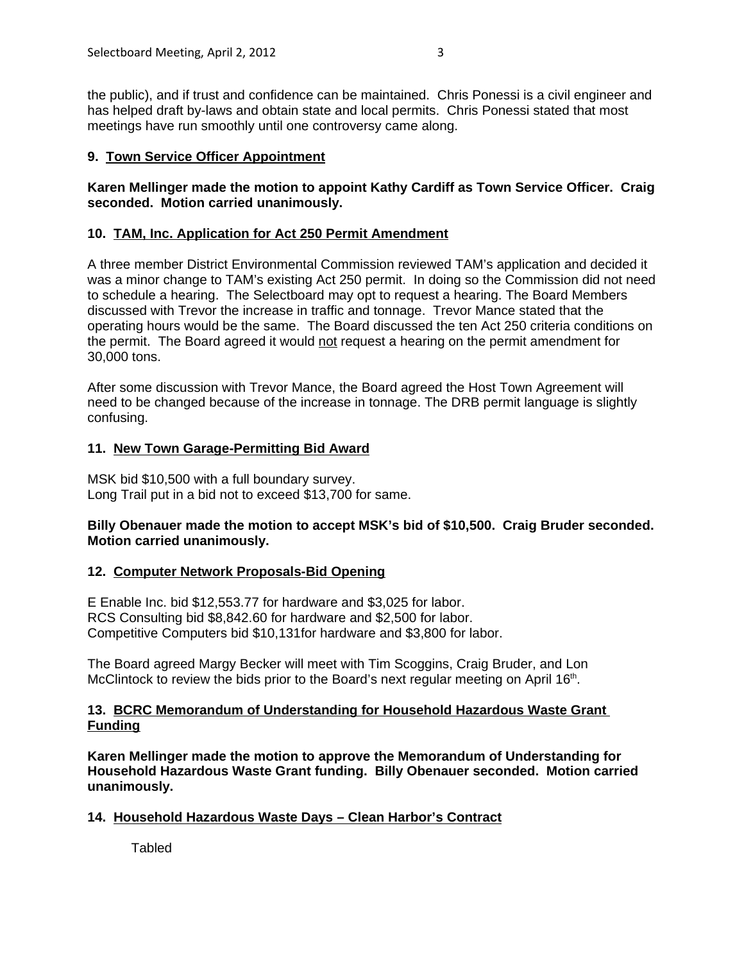the public), and if trust and confidence can be maintained. Chris Ponessi is a civil engineer and has helped draft by-laws and obtain state and local permits. Chris Ponessi stated that most meetings have run smoothly until one controversy came along.

# **9. Town Service Officer Appointment**

## **Karen Mellinger made the motion to appoint Kathy Cardiff as Town Service Officer. Craig seconded. Motion carried unanimously.**

# **10. TAM, Inc. Application for Act 250 Permit Amendment**

A three member District Environmental Commission reviewed TAM's application and decided it was a minor change to TAM's existing Act 250 permit. In doing so the Commission did not need to schedule a hearing. The Selectboard may opt to request a hearing. The Board Members discussed with Trevor the increase in traffic and tonnage. Trevor Mance stated that the operating hours would be the same. The Board discussed the ten Act 250 criteria conditions on the permit. The Board agreed it would not request a hearing on the permit amendment for 30,000 tons.

After some discussion with Trevor Mance, the Board agreed the Host Town Agreement will need to be changed because of the increase in tonnage. The DRB permit language is slightly confusing.

## **11. New Town Garage-Permitting Bid Award**

MSK bid \$10,500 with a full boundary survey. Long Trail put in a bid not to exceed \$13,700 for same.

## **Billy Obenauer made the motion to accept MSK's bid of \$10,500. Craig Bruder seconded. Motion carried unanimously.**

## **12. Computer Network Proposals-Bid Opening**

E Enable Inc. bid \$12,553.77 for hardware and \$3,025 for labor. RCS Consulting bid \$8,842.60 for hardware and \$2,500 for labor. Competitive Computers bid \$10,131for hardware and \$3,800 for labor.

The Board agreed Margy Becker will meet with Tim Scoggins, Craig Bruder, and Lon McClintock to review the bids prior to the Board's next regular meeting on April  $16<sup>th</sup>$ .

#### **13. BCRC Memorandum of Understanding for Household Hazardous Waste Grant Funding**

**Karen Mellinger made the motion to approve the Memorandum of Understanding for Household Hazardous Waste Grant funding. Billy Obenauer seconded. Motion carried unanimously.**

## **14. Household Hazardous Waste Days – Clean Harbor's Contract**

**Tabled**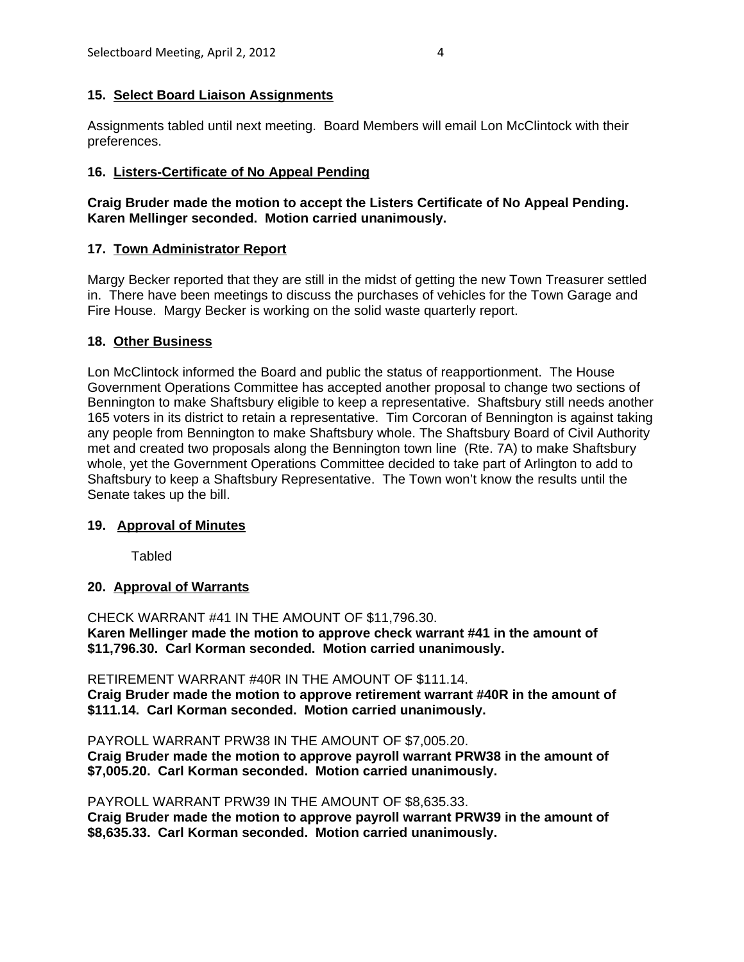# **15. Select Board Liaison Assignments**

Assignments tabled until next meeting. Board Members will email Lon McClintock with their preferences.

# **16. Listers-Certificate of No Appeal Pending**

# **Craig Bruder made the motion to accept the Listers Certificate of No Appeal Pending. Karen Mellinger seconded. Motion carried unanimously.**

# **17. Town Administrator Report**

Margy Becker reported that they are still in the midst of getting the new Town Treasurer settled in. There have been meetings to discuss the purchases of vehicles for the Town Garage and Fire House. Margy Becker is working on the solid waste quarterly report.

## **18. Other Business**

Lon McClintock informed the Board and public the status of reapportionment. The House Government Operations Committee has accepted another proposal to change two sections of Bennington to make Shaftsbury eligible to keep a representative. Shaftsbury still needs another 165 voters in its district to retain a representative. Tim Corcoran of Bennington is against taking any people from Bennington to make Shaftsbury whole. The Shaftsbury Board of Civil Authority met and created two proposals along the Bennington town line (Rte. 7A) to make Shaftsbury whole, yet the Government Operations Committee decided to take part of Arlington to add to Shaftsbury to keep a Shaftsbury Representative. The Town won't know the results until the Senate takes up the bill.

## **19. Approval of Minutes**

Tabled

## **20. Approval of Warrants**

CHECK WARRANT #41 IN THE AMOUNT OF \$11,796.30. **Karen Mellinger made the motion to approve check warrant #41 in the amount of \$11,796.30. Carl Korman seconded. Motion carried unanimously.**

RETIREMENT WARRANT #40R IN THE AMOUNT OF \$111.14. **Craig Bruder made the motion to approve retirement warrant #40R in the amount of \$111.14. Carl Korman seconded. Motion carried unanimously.**

PAYROLL WARRANT PRW38 IN THE AMOUNT OF \$7,005.20. **Craig Bruder made the motion to approve payroll warrant PRW38 in the amount of \$7,005.20. Carl Korman seconded. Motion carried unanimously.**

PAYROLL WARRANT PRW39 IN THE AMOUNT OF \$8,635.33. **Craig Bruder made the motion to approve payroll warrant PRW39 in the amount of \$8,635.33. Carl Korman seconded. Motion carried unanimously.**